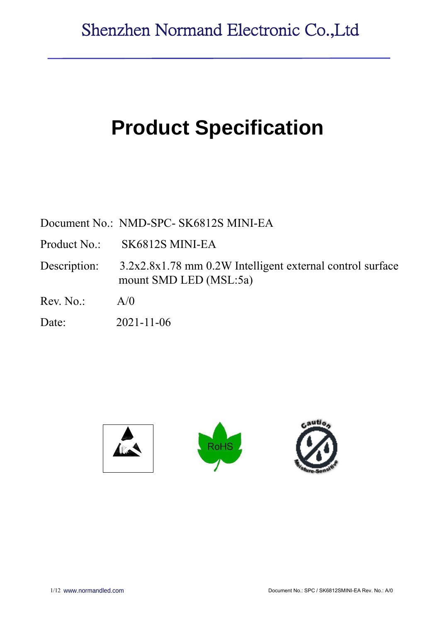# **Product Specification**

Document No.: NMD-SPC- SK6812S MINI-EA

Product No.: SK6812S MINI-EA

Description: 3.2x2.8x1.78 mm 0.2W Intelligent external control surface mount SMD LED (MSL:5a)

 $Rev. No.$   $A/0$ 

Date: 2021-11-06

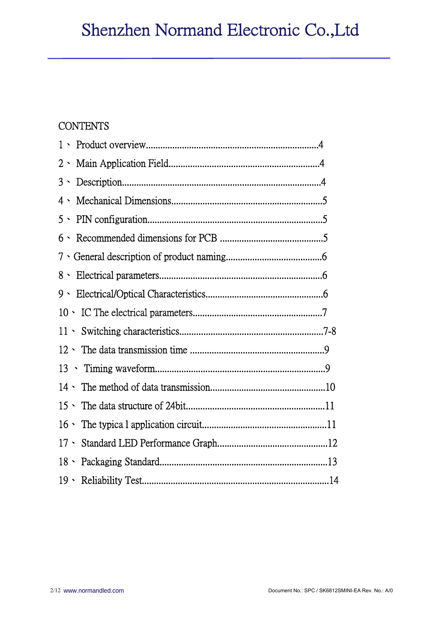# **CONTENTS**

| $3 \cdot$ |  |
|-----------|--|
| 4、        |  |
|           |  |
|           |  |
|           |  |
|           |  |
| 9、        |  |
|           |  |
|           |  |
|           |  |
|           |  |
|           |  |
|           |  |
|           |  |
|           |  |
|           |  |
|           |  |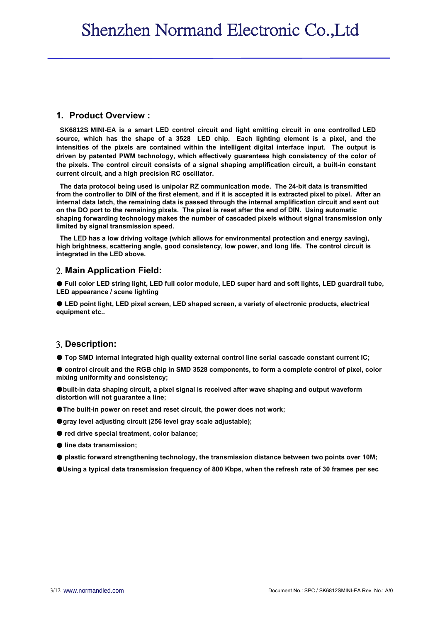#### **1. Product Overview :**

**SK6812S MINI-EA is a smart LED control circuit and light emitting circuit in one controlled LED source, which has the shape of a 3528 LED chip. Each lighting element is a pixel, and the intensities of the pixels are contained within the intelligent digital interface input. The output is driven by patented PWM technology, which effectively guarantees high consistency of the color of the pixels. The control circuit consists of a signal shaping amplification circuit, a built-in constant current circuit, and a high precision RC oscillator.**

**The data protocol being used is unipolar RZ communication mode. The 24-bit data is transmitted from the controller to DIN of the first element, and if it is accepted it is extracted pixel to pixel. After an internal data latch, the remaining data is passed through the internal amplification circuit and sent out on the DO port to the remaining pixels. The pixel is reset after the end of DIN. Using automatic shaping forwarding technology makes the number of cascaded pixels without signal transmission only limited by signal transmission speed.**

**The LED has a low driving voltage (which allows for environmental protection and energy saving), high brightness, scattering angle, good consistency, low power, and long life. The control circuit is integrated in the LED above.**

#### 2. **Main Application Field:**

● **Full color LED string light, LED full color module, LED super hard and soft lights, LED guardrail tube, LED appearance / scene lighting**

● **LED point light, LED pixel screen, LED shaped screen, a variety of electronic products, electrical equipment etc..**

#### 3. **Description:**

● **Top SMD internal integrated high quality external control line serial cascade constant current IC;**

● control circuit and the RGB chip in SMD 3528 components, to form a complete control of pixel, color **mixing uniformity and consistency;**

●**built-in data shaping circuit, a pixel signal is received after wave shaping and output waveform distortion will not guarantee a line;**

●**The built-in power on reset and reset circuit, the power does not work;**

●**gray level adjusting circuit (256 level gray scale adjustable);**

● **red drive special treatment, color balance;**

- **line data transmission;**
- **plastic forward strengthening technology, the transmission distance between two points over 10M;**
- ●**Using a typical data transmission frequency of 800 Kbps, when the refresh rate of 30 frames per sec**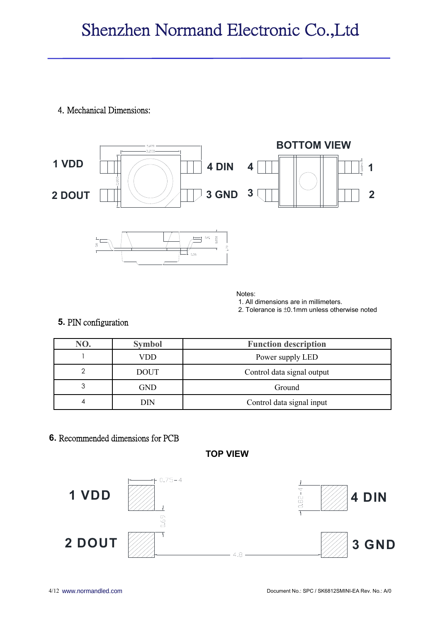## 4. Mechanical Dimensions:



Notes:

1. All dimensions are in millimeters.

2. Tolerance is ±0.1mm unless otherwise noted

## **5.** PIN configuration

| NO. | <b>Symbol</b> | <b>Function description</b> |  |  |
|-----|---------------|-----------------------------|--|--|
|     | VDD           | Power supply LED            |  |  |
| ◠   | <b>DOUT</b>   | Control data signal output  |  |  |
| 3   | GND           | Ground                      |  |  |
| 4   | DIN           | Control data signal input   |  |  |

# **6.** Recommended dimensions for PCB

**TOP VIEW**

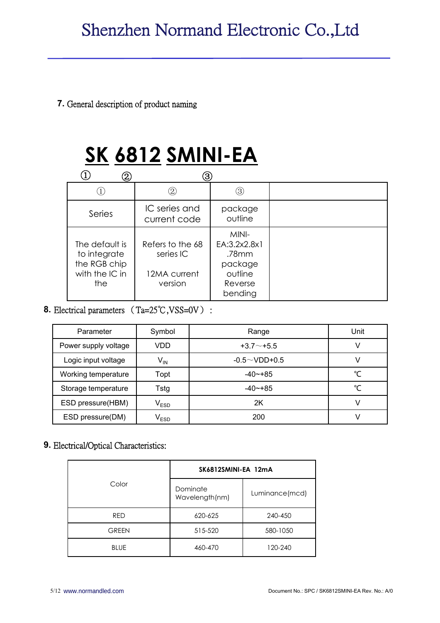## **7.** General description of product naming

# **SK 6812 SMINI-EA**

| $\left( 2\right)$                                                       | 3)                                                       |                                                                            |  |
|-------------------------------------------------------------------------|----------------------------------------------------------|----------------------------------------------------------------------------|--|
|                                                                         | 2)                                                       | 3)                                                                         |  |
| Series                                                                  | IC series and<br>current code                            | package<br>outline                                                         |  |
| The default is<br>to integrate<br>the RGB chip<br>with the IC in<br>the | Refers to the 68<br>series IC<br>12MA current<br>version | MINI-<br>EA:3.2x2.8x1<br>.78mm<br>package<br>outline<br>Reverse<br>bending |  |

# **8.** Electrical parameters (Ta=25℃,VSS=0V) :

| Parameter            | Symbol                      | Range               | Unit |
|----------------------|-----------------------------|---------------------|------|
| Power supply voltage | VDD                         | $+3.7+5.5$          |      |
| Logic input voltage  | $V_{IN}$                    | $-0.5 \sim$ VDD+0.5 |      |
| Working temperature  | Topt                        | $-40$ $-+85$        | °C   |
| Storage temperature  | Tstg                        | $-40$ $-+85$        | °C   |
| ESD pressure(HBM)    | $\mathsf{V}_{\mathsf{ESD}}$ | 2K                  |      |
| ESD pressure(DM)     | $\mathsf{V}_{\mathsf{ESD}}$ | 200                 |      |

## **9.** Electrical/Optical Characteristics:

|              | SK6812SMINI-EA 12mA        |                |
|--------------|----------------------------|----------------|
| Color        | Dominate<br>Wavelength(nm) | Luminance(mcd) |
| <b>RED</b>   | 620-625                    | 240-450        |
| <b>GREEN</b> | 515-520                    | 580-1050       |
| <b>BLUE</b>  | 460-470                    | 120-240        |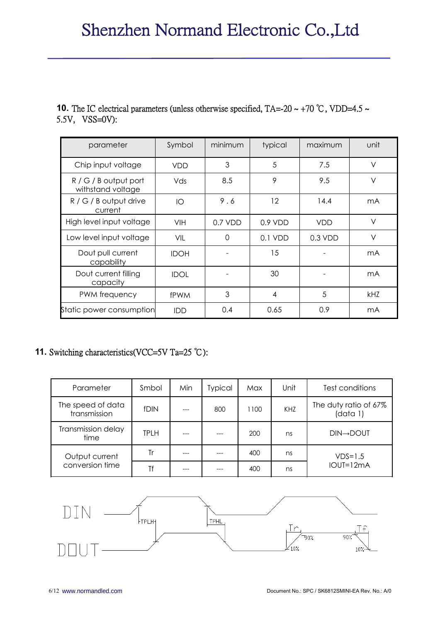## **10.** The IC electrical parameters (unless otherwise specified, TA=-20 ~ +70 °C, VDD=4.5 ~ 5.5V, VSS=0V):

| parameter                                    | Symbol      | minimum   | typical   | maximum    | unit       |
|----------------------------------------------|-------------|-----------|-----------|------------|------------|
| Chip input voltage                           | <b>VDD</b>  | 3         | 5         | 7.5        | $\vee$     |
| $R / G / B$ output port<br>withstand voltage | Vds         | 8.5       | 9         | 9.5        | $\vee$     |
| R / G / B output drive<br>current            | IO          | 9.6       | 12        | 14.4       | mA         |
| High level input voltage                     | <b>VIH</b>  | $0.7$ VDD | $0.9$ VDD | <b>VDD</b> | $\vee$     |
| Low level input voltage                      | VIL         | 0         | 0.1 VDD   | $0.3$ VDD  | V          |
| Dout pull current<br>capability              | <b>IDOH</b> |           | 15        |            | mA         |
| Dout current filling<br>capacity             | <b>IDOL</b> |           | 30        |            | mA         |
| PWM frequency                                | <b>fPWM</b> | 3         | 4         | 5          | <b>kHZ</b> |
| Static power consumption                     | <b>IDD</b>  | 0.4       | 0.65      | 0.9        | mA         |

# **11.** Switching characteristics(VCC=5V Ta=25 ℃):

| Parameter                         | Smbol       | Min | <b>Typical</b> | Max  | Unit | Test conditions                   |
|-----------------------------------|-------------|-----|----------------|------|------|-----------------------------------|
| The speed of data<br>transmission | <b>fDIN</b> |     | 800            | 1100 | KHZ  | The duty ratio of 67%<br>(data 1) |
| Transmission delay<br>time        | <b>TPLH</b> |     |                | 200  | ns   | <b>DIN→DOUT</b>                   |
| Output current                    | Tr          |     |                | 400  | ns   | $VDS=1.5$                         |
| conversion time                   | Τf          |     |                | 400  | ns   | IOUT=12mA                         |

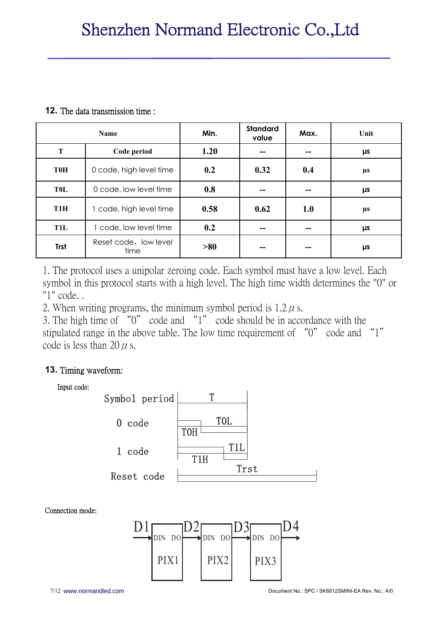#### **12.** The data transmission time :

| <b>Name</b>      |                               | Min. | <b>Standard</b><br>value | Max. | Unit    |
|------------------|-------------------------------|------|--------------------------|------|---------|
| T                | Code period                   | 1.20 | --                       |      | μs      |
| <b>T0H</b>       | 0 code, high level time       | 0.2  | 0.32                     | 0.4  | $\mu$ s |
| <b>TOL</b>       | 0 code, low level time        | 0.8  | --                       |      | μs      |
| T <sub>1</sub> H | 1 code, high level time       | 0.58 | 0.62                     | 1.0  | $\mu$ s |
| T <sub>1</sub> L | 1 code, low level time        | 0.2  | --                       |      | μs      |
| <b>Trst</b>      | Reset code, low level<br>time | >80  | --                       |      | μs      |

1. The protocol uses a unipolar zeroing code. Each symbol must have a low level. Each symbol in this protocol starts with a high level. The high time width determines the "0" or "1" code. .

2. When writing programs, the minimum symbol period is  $1.2 \mu$  s.

3. The high time of "0" code and "1" code should be in accordance with the stipulated range in the above table. The low time requirement of "0" code and "1" code is less than 20  $\mu$  s.

## **13.** Timing waveform:



Connection mode:

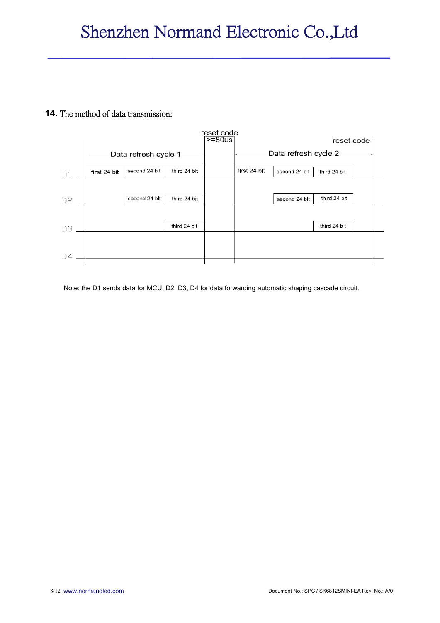#### **14.** The method of data transmission:



Note: the D1 sends data for MCU, D2, D3, D4 for data forwarding automatic shaping cascade circuit.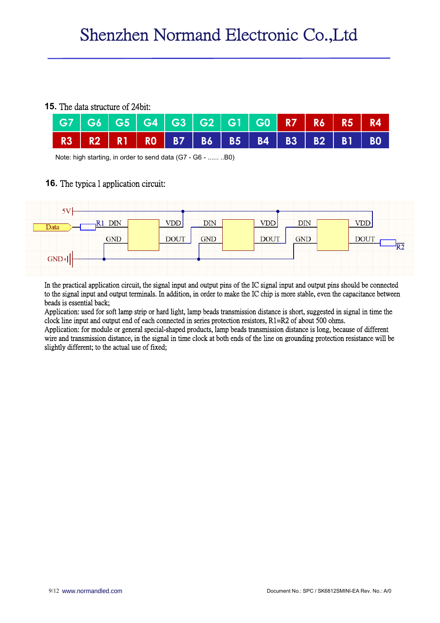#### **15.** The data structure of 24bit:

|  | G7   G6   G5   G4   G3   G2   G1   G0 <mark>  R7   R6   R5   R4</mark> |  |  |  |  |  |
|--|------------------------------------------------------------------------|--|--|--|--|--|
|  | R3   R2   R1   R0   B7   B6   B5   B4   B3   B2   B1   B0              |  |  |  |  |  |

Note: high starting, in order to send data (G7 - G6 - ...... ..B0)

#### **16.** The typica l application circuit:



In the practical application circuit, the signal input and output pins of the IC signal input and output pins should be connected to the signal input and output terminals. In addition, in order to make the IC chip is more stable, even the capacitance between beads is essential back;

Application: used for soft lamp strip or hard light, lamp beads transmission distance is short, suggested in signal in time the clock line input and output end of each connected in series protection resistors, R1=R2 of about 500 ohms.

Application: for module or general special-shaped products, lamp beads transmission distance is long, because of different wire and transmission distance, in the signal in time clock at both ends of the line on grounding protection resistance will be slightly different; to the actual use of fixed;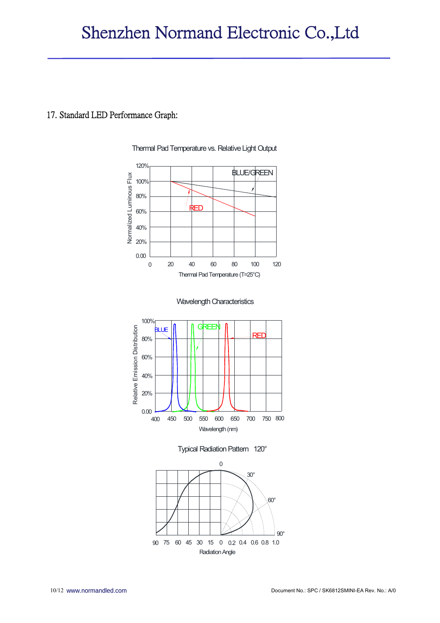#### 17. Standard LED Performance Graph:



Thermal Pad Temperature vs. Relative Light Output







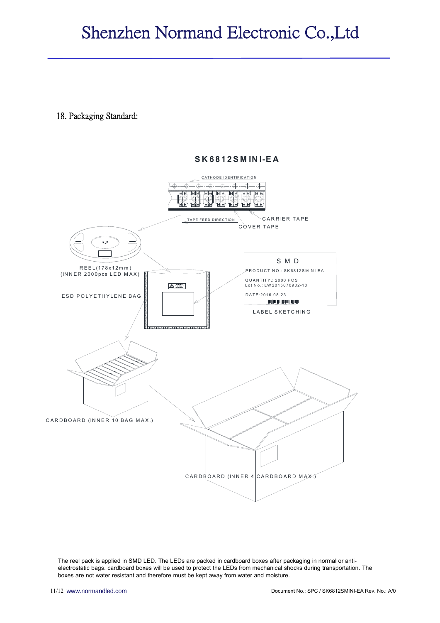### 18. Packaging Standard:

#### **S K 6 8 1 2 S M IN I-E A**



The reel pack is applied in SMD LED. The LEDs are packed in cardboard boxes after packaging in normal or antielectrostatic bags. cardboard boxes will be used to protect the LEDs from mechanical shocks during transportation. The boxes are not water resistant and therefore must be kept away from water and moisture.